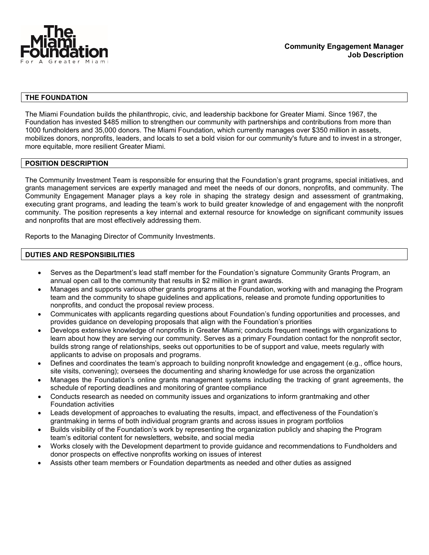

### **THE FOUNDATION**

The Miami Foundation builds the philanthropic, civic, and leadership backbone for Greater Miami. Since 1967, the Foundation has invested \$485 million to strengthen our community with partnerships and contributions from more than 1000 fundholders and 35,000 donors. The Miami Foundation, which currently manages over \$350 million in assets, mobilizes donors, nonprofits, leaders, and locals to set a bold vision for our community's future and to invest in a stronger, more equitable, more resilient Greater Miami.

## **POSITION DESCRIPTION**

The Community Investment Team is responsible for ensuring that the Foundation's grant programs, special initiatives, and grants management services are expertly managed and meet the needs of our donors, nonprofits, and community. The Community Engagement Manager plays a key role in shaping the strategy design and assessment of grantmaking, executing grant programs, and leading the team's work to build greater knowledge of and engagement with the nonprofit community. The position represents a key internal and external resource for knowledge on significant community issues and nonprofits that are most effectively addressing them.

Reports to the Managing Director of Community Investments.

### **DUTIES AND RESPONSIBILITIES**

- Serves as the Department's lead staff member for the Foundation's signature Community Grants Program, an annual open call to the community that results in \$2 million in grant awards.
- Manages and supports various other grants programs at the Foundation, working with and managing the Program team and the community to shape guidelines and applications, release and promote funding opportunities to nonprofits, and conduct the proposal review process.
- Communicates with applicants regarding questions about Foundation's funding opportunities and processes, and provides guidance on developing proposals that align with the Foundation's priorities
- Develops extensive knowledge of nonprofits in Greater Miami; conducts frequent meetings with organizations to learn about how they are serving our community. Serves as a primary Foundation contact for the nonprofit sector, builds strong range of relationships, seeks out opportunities to be of support and value, meets regularly with applicants to advise on proposals and programs.
- Defines and coordinates the team's approach to building nonprofit knowledge and engagement (e.g., office hours, site visits, convening); oversees the documenting and sharing knowledge for use across the organization
- Manages the Foundation's online grants management systems including the tracking of grant agreements, the schedule of reporting deadlines and monitoring of grantee compliance
- Conducts research as needed on community issues and organizations to inform grantmaking and other Foundation activities
- Leads development of approaches to evaluating the results, impact, and effectiveness of the Foundation's grantmaking in terms of both individual program grants and across issues in program portfolios
- Builds visibility of the Foundation's work by representing the organization publicly and shaping the Program team's editorial content for newsletters, website, and social media
- Works closely with the Development department to provide guidance and recommendations to Fundholders and donor prospects on effective nonprofits working on issues of interest
- Assists other team members or Foundation departments as needed and other duties as assigned